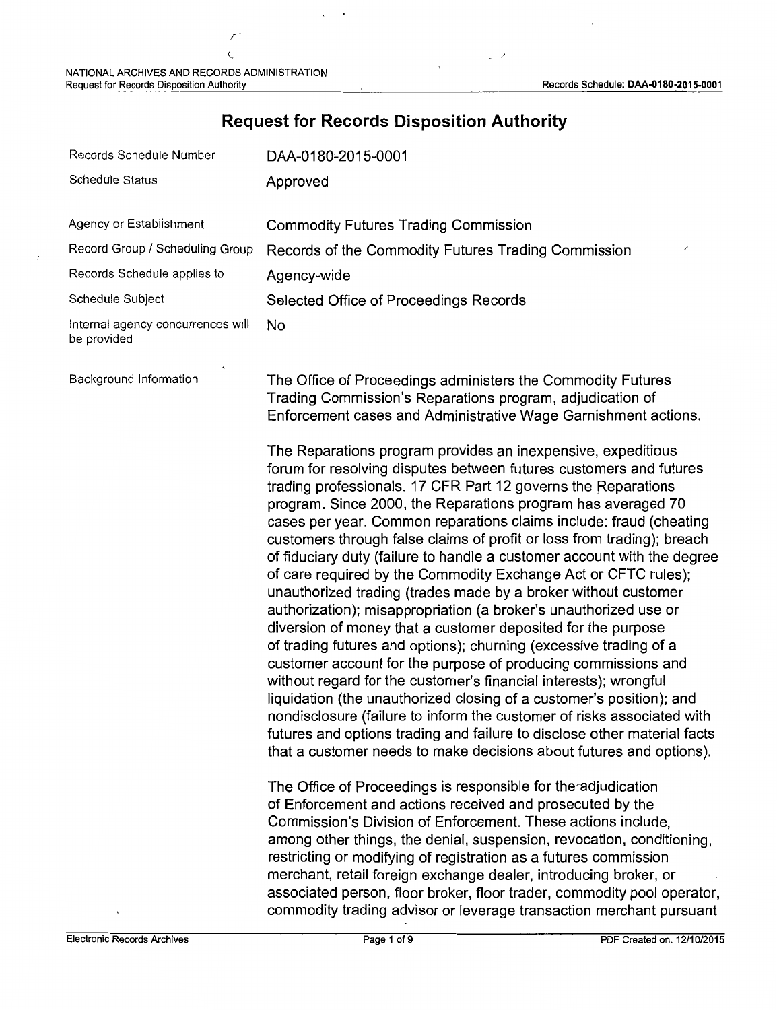$\mathfrak{c}$ 

,

## Records Schedule Number Schedule Status Agency or Establishment Record Group / Scheduling Group Records Schedule applies to Schedule Subject Internal agency concurrences will be provided Background Information DAA-0180'-2015-0001 Approved Commodity Futures Trading Commission Records of the Commodity Futures Trading Commission Agency-wide Selected Office of Proceedings Records No The Office of Proceedings administers the Commodity Futures Trading Commission's Reparations program, adjudication of Enforcement cases and Administrative Wage Garnishment actions. The Reparations program provides an inexpensive, expeditious forum for resolving disputes between futures customers and futures trading professionals. 17 CFR Part 12 governs the Reparations program. Since 2000, the Reparations program has averaged 70 cases per year. Common reparations claims include: fraud (cheating customers through false claims of profit or loss from trading); breach of fiduciary duty (failure to handle a customer account with the degree of care required by the Commodity Exchange Act or CFTC rules); unauthorized trading (trades made by a broker without customer authorization); misappropriation (a broker's unauthorized use or diversion of money that a customer deposited for the purpose of trading futures and options); churning (excessive trading of a customer account for the purpose of producing commissions and without regard for the customer's financial interests); wrongful liquidation (the unauthorized closing of a customer's position); and nondisclosure (failure to inform the customer of risks associated with futures and options trading and failure to disclose other material facts that a customer needs to make decisions about futures and options). The Office of Proceedings is responsible for the~adjudication of Enforcement and actions received and prosecuted by the Commission's Division of Enforcement. These actions include, among other things, the denial, suspension, revocation, conditioning, restricting or modifying of registration as a futures commission merchant, retail foreign exchange dealer, introducing broker, or associated person, floor broker, floor trader, commodity pool operator,

## **Request for Records Disposition Authority**

·'

commodity trading advisor or leverage transaction merchant pursuant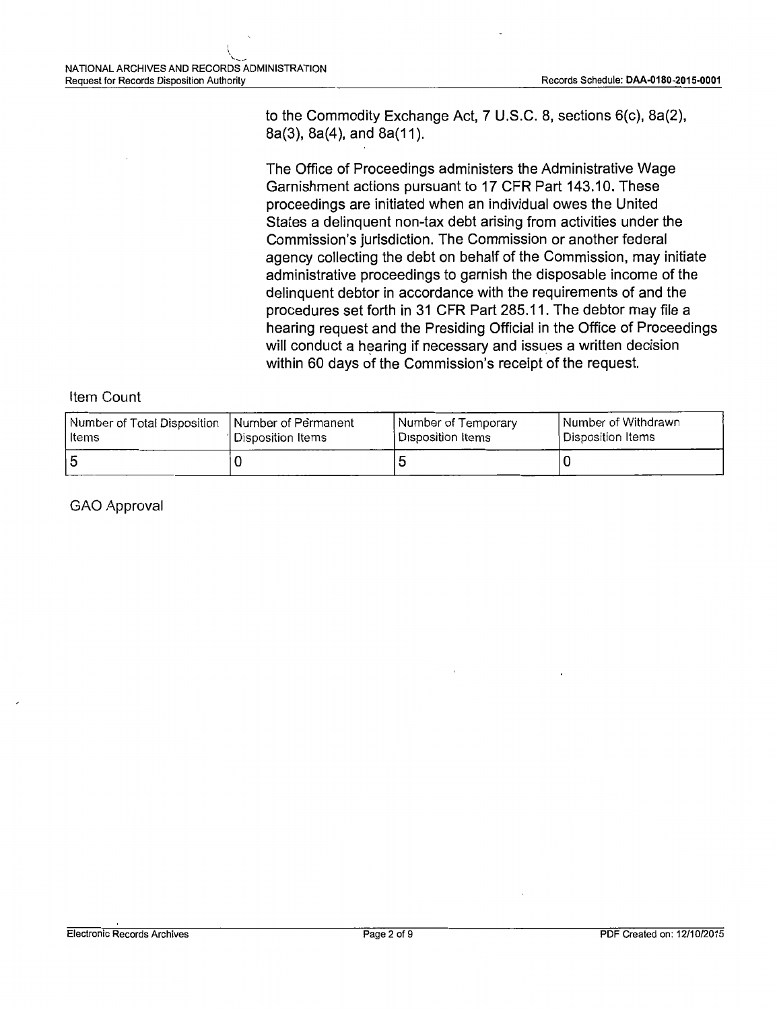$\ddot{\phantom{0}}$ 

to the Commodity Exchange Act, 7 U.S.C. 8, sections 6(c), 8a(2), 8a(3), 8a(4), and 8a(11).

The Office of Proceedings administers the Administrative Wage Garnishment actions pursuant to 17 CFR Part 143.10. These proceedings are initiated when an individual owes the United States a delinquent non-tax debt arising from activities under the Commission's jurisdiction. The Commission or another federal agency collecting the debt on behalf of the Commission, may initiate administrative proceedings to garnish the disposable income of the delinquent debtor in accordance with the requirements of and the procedures set forth in 31 CFR Part 285.11. The debtor may file a hearing request and the Presiding Official in the Office of Proceedings will conduct a hearing if necessary and issues a written decision within 60 days of the Commission's receipt of the request.

#### Item Count

| Number of Total Disposition   Number of Permanent | l Disposition Items | Number of Temporary | Number of Withdrawn |
|---------------------------------------------------|---------------------|---------------------|---------------------|
| l Items                                           |                     | l Disposition Items | Disposition Items   |
| 15                                                |                     |                     |                     |

GAO Approval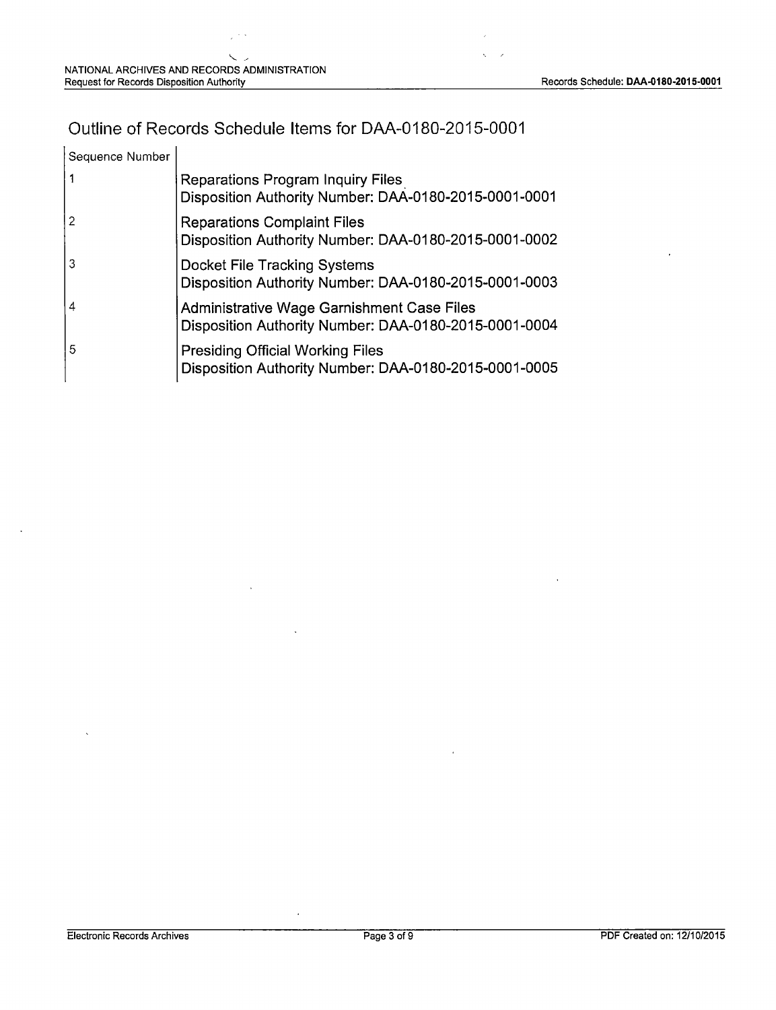## Outline of Records Schedule Items for DAA-0180-2015-0001

| Sequence Number |                                                                                                     |
|-----------------|-----------------------------------------------------------------------------------------------------|
|                 | <b>Reparations Program Inquiry Files</b><br>Disposition Authority Number: DAA-0180-2015-0001-0001   |
|                 | <b>Reparations Complaint Files</b><br>Disposition Authority Number: DAA-0180-2015-0001-0002         |
| 3               | Docket File Tracking Systems<br>Disposition Authority Number: DAA-0180-2015-0001-0003               |
| 4               | Administrative Wage Garnishment Case Files<br>Disposition Authority Number: DAA-0180-2015-0001-0004 |
| 5               | <b>Presiding Official Working Files</b><br>Disposition Authority Number: DAA-0180-2015-0001-0005    |

 $\overline{\phantom{a}}$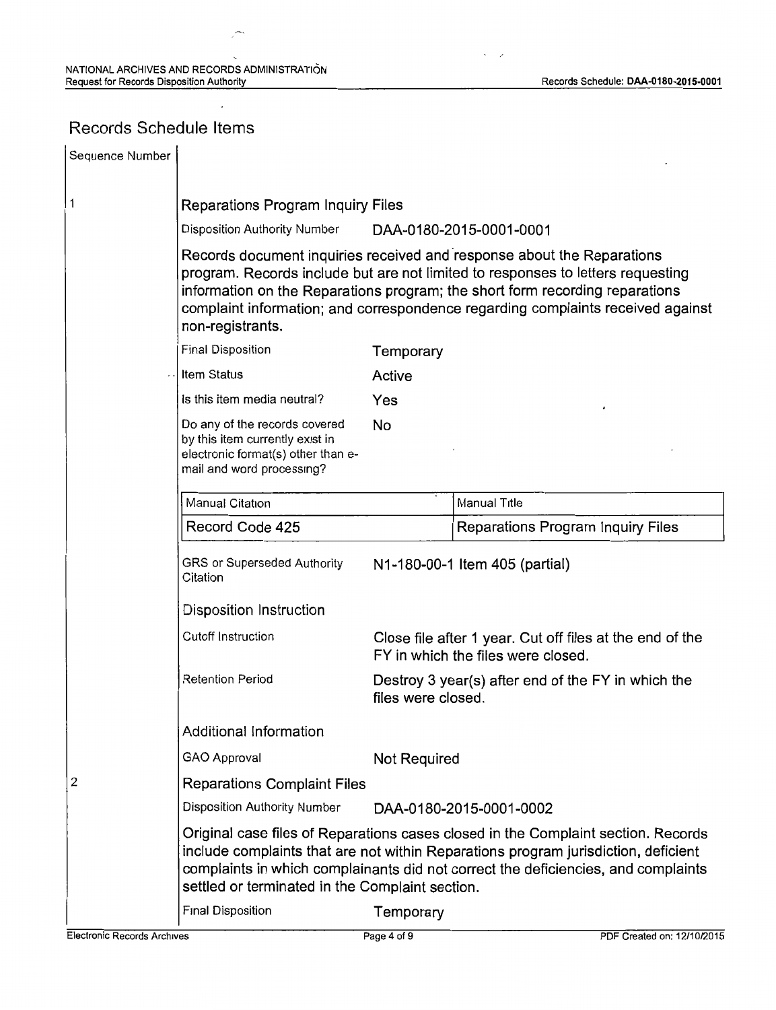## Records Schedule Items

| Sequence Number |                                                                                                                                                                                                                                                                                                                                                  |                                                                          |                                                                                                |  |
|-----------------|--------------------------------------------------------------------------------------------------------------------------------------------------------------------------------------------------------------------------------------------------------------------------------------------------------------------------------------------------|--------------------------------------------------------------------------|------------------------------------------------------------------------------------------------|--|
| 1               | <b>Reparations Program Inquiry Files</b>                                                                                                                                                                                                                                                                                                         |                                                                          |                                                                                                |  |
|                 | Disposition Authority Number                                                                                                                                                                                                                                                                                                                     |                                                                          | DAA-0180-2015-0001-0001                                                                        |  |
|                 | Records document inquiries received and response about the Reparations<br>program. Records include but are not limited to responses to letters requesting<br>information on the Reparations program; the short form recording reparations<br>complaint information; and correspondence regarding complaints received against<br>non-registrants. |                                                                          |                                                                                                |  |
|                 | <b>Final Disposition</b>                                                                                                                                                                                                                                                                                                                         | Temporary                                                                |                                                                                                |  |
|                 | Item Status                                                                                                                                                                                                                                                                                                                                      | Active                                                                   |                                                                                                |  |
|                 | Is this item media neutral?                                                                                                                                                                                                                                                                                                                      | Yes                                                                      |                                                                                                |  |
|                 | Do any of the records covered<br>by this item currently exist in<br>electronic format(s) other than e-<br>mail and word processing?                                                                                                                                                                                                              | No                                                                       |                                                                                                |  |
|                 | Manual Citation                                                                                                                                                                                                                                                                                                                                  |                                                                          | Manual Title                                                                                   |  |
|                 | Record Code 425                                                                                                                                                                                                                                                                                                                                  |                                                                          | Reparations Program Inquiry Files                                                              |  |
|                 | GRS or Superseded Authority<br>Citation                                                                                                                                                                                                                                                                                                          |                                                                          | N1-180-00-1 Item 405 (partial)                                                                 |  |
|                 | Disposition Instruction                                                                                                                                                                                                                                                                                                                          |                                                                          |                                                                                                |  |
|                 | Cutoff Instruction                                                                                                                                                                                                                                                                                                                               |                                                                          | Close file after 1 year. Cut off files at the end of the<br>FY in which the files were closed. |  |
|                 | Retention Period                                                                                                                                                                                                                                                                                                                                 | Destroy 3 year(s) after end of the FY in which the<br>files were closed. |                                                                                                |  |
|                 | <b>Additional Information</b>                                                                                                                                                                                                                                                                                                                    |                                                                          |                                                                                                |  |
|                 | <b>GAO Approval</b>                                                                                                                                                                                                                                                                                                                              | Not Required                                                             |                                                                                                |  |
| 2               | <b>Reparations Complaint Files</b>                                                                                                                                                                                                                                                                                                               |                                                                          |                                                                                                |  |
|                 | Disposition Authority Number                                                                                                                                                                                                                                                                                                                     |                                                                          | DAA-0180-2015-0001-0002                                                                        |  |
|                 | Original case files of Reparations cases closed in the Complaint section. Records<br>include complaints that are not within Reparations program jurisdiction, deficient<br>complaints in which complainants did not correct the deficiencies, and complaints<br>settled or terminated in the Complaint section.                                  |                                                                          |                                                                                                |  |
|                 | Final Disposition                                                                                                                                                                                                                                                                                                                                | Temporary                                                                |                                                                                                |  |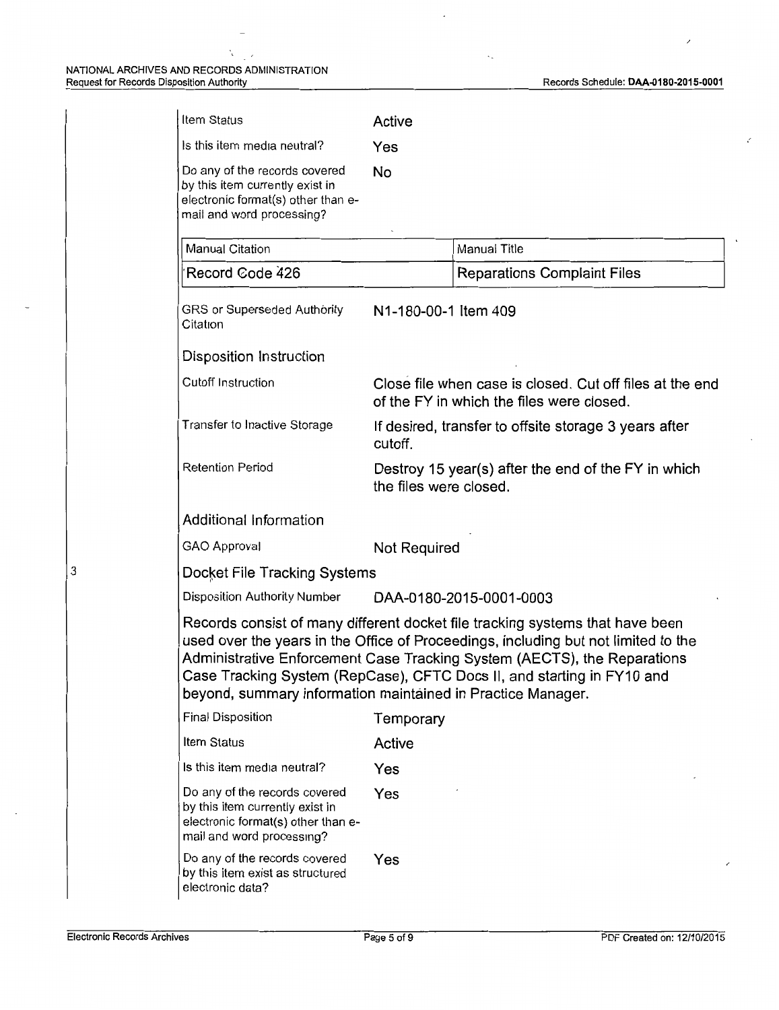$\ddot{\phantom{a}}$  $\sim$ 

| Item Status                                                                                                                         | Active                                                                                                |                                                                                                                                                                                                                                                                                                                           |  |
|-------------------------------------------------------------------------------------------------------------------------------------|-------------------------------------------------------------------------------------------------------|---------------------------------------------------------------------------------------------------------------------------------------------------------------------------------------------------------------------------------------------------------------------------------------------------------------------------|--|
| Is this item media neutral?                                                                                                         | Yes                                                                                                   |                                                                                                                                                                                                                                                                                                                           |  |
| Do any of the records covered<br>by this item currently exist in<br>electronic format(s) other than e-<br>mail and word processing? | No                                                                                                    |                                                                                                                                                                                                                                                                                                                           |  |
| <b>Manual Citation</b>                                                                                                              |                                                                                                       | Manual Title                                                                                                                                                                                                                                                                                                              |  |
| Record Code 426                                                                                                                     |                                                                                                       | <b>Reparations Complaint Files</b>                                                                                                                                                                                                                                                                                        |  |
| GRS or Superseded Authority<br>Citation                                                                                             | N1-180-00-1 Item 409                                                                                  |                                                                                                                                                                                                                                                                                                                           |  |
| Disposition Instruction                                                                                                             |                                                                                                       |                                                                                                                                                                                                                                                                                                                           |  |
| Cutoff Instruction                                                                                                                  | Close file when case is closed. Cut off files at the end<br>of the FY in which the files were closed. |                                                                                                                                                                                                                                                                                                                           |  |
| Transfer to Inactive Storage                                                                                                        | If desired, transfer to offsite storage 3 years after<br>cutoff.                                      |                                                                                                                                                                                                                                                                                                                           |  |
| <b>Retention Period</b>                                                                                                             | Destroy 15 year(s) after the end of the FY in which<br>the files were closed.                         |                                                                                                                                                                                                                                                                                                                           |  |
| Additional Information                                                                                                              |                                                                                                       |                                                                                                                                                                                                                                                                                                                           |  |
| GAO Approval                                                                                                                        | <b>Not Required</b>                                                                                   |                                                                                                                                                                                                                                                                                                                           |  |
| Docket File Tracking Systems                                                                                                        |                                                                                                       |                                                                                                                                                                                                                                                                                                                           |  |
| <b>Disposition Authority Number</b>                                                                                                 |                                                                                                       | DAA-0180-2015-0001-0003                                                                                                                                                                                                                                                                                                   |  |
| beyond, summary information maintained in Practice Manager.                                                                         |                                                                                                       | Records consist of many different docket file tracking systems that have been<br>used over the years in the Office of Proceedings, including but not limited to the<br>Administrative Enforcement Case Tracking System (AECTS), the Reparations<br>Case Tracking System (RepCase), CFTC Docs II, and starting in FY10 and |  |
| Final Disposition                                                                                                                   | Temporary                                                                                             |                                                                                                                                                                                                                                                                                                                           |  |
| Item Status                                                                                                                         | Active                                                                                                |                                                                                                                                                                                                                                                                                                                           |  |
| Is this item media neutral?                                                                                                         | Yes                                                                                                   |                                                                                                                                                                                                                                                                                                                           |  |
| Do any of the records covered<br>by this item currently exist in<br>electronic format(s) other than e-<br>mail and word processing? | Yes                                                                                                   |                                                                                                                                                                                                                                                                                                                           |  |
| Do any of the records covered<br>by this item exist as structured<br>electronic data?                                               | Yes                                                                                                   |                                                                                                                                                                                                                                                                                                                           |  |

 $\ddot{\phantom{a}}$ 

3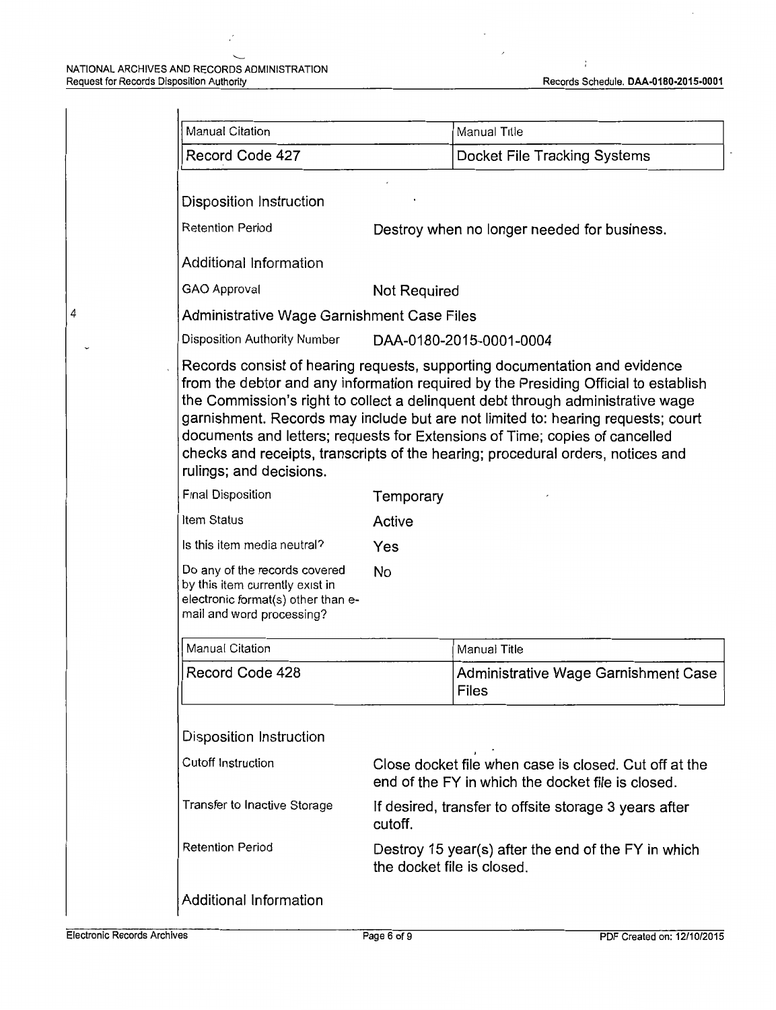#### NATIONAL ARCHIVES AND RECORDS ADMINISTRATION Request for Records Disposition Authority Records Schedule. DAA-0180-2015-0001 Records Schedule. DAA-0180-2015-0001

4

 $\dot{r}$ 

|                                                                                                                                     |                                                                                                            | Manual Title                                                                                                                                                                                                                                                                                                                          |  |
|-------------------------------------------------------------------------------------------------------------------------------------|------------------------------------------------------------------------------------------------------------|---------------------------------------------------------------------------------------------------------------------------------------------------------------------------------------------------------------------------------------------------------------------------------------------------------------------------------------|--|
| Record Code 427                                                                                                                     |                                                                                                            | Docket File Tracking Systems                                                                                                                                                                                                                                                                                                          |  |
| Disposition Instruction                                                                                                             |                                                                                                            |                                                                                                                                                                                                                                                                                                                                       |  |
| <b>Retention Period</b><br>Destroy when no longer needed for business.                                                              |                                                                                                            |                                                                                                                                                                                                                                                                                                                                       |  |
| Additional Information                                                                                                              |                                                                                                            |                                                                                                                                                                                                                                                                                                                                       |  |
| GAO Approval<br>Not Required                                                                                                        |                                                                                                            |                                                                                                                                                                                                                                                                                                                                       |  |
| Administrative Wage Garnishment Case Files                                                                                          |                                                                                                            |                                                                                                                                                                                                                                                                                                                                       |  |
| Disposition Authority Number                                                                                                        | DAA-0180-2015-0001-0004                                                                                    |                                                                                                                                                                                                                                                                                                                                       |  |
| rulings; and decisions.                                                                                                             |                                                                                                            | the Commission's right to collect a delinquent debt through administrative wage<br>garnishment. Records may include but are not limited to: hearing requests; court<br>documents and letters; requests for Extensions of Time; copies of cancelled<br>checks and receipts, transcripts of the hearing; procedural orders, notices and |  |
| Final Disposition                                                                                                                   | Temporary                                                                                                  |                                                                                                                                                                                                                                                                                                                                       |  |
| Item Status                                                                                                                         | Active                                                                                                     |                                                                                                                                                                                                                                                                                                                                       |  |
| Is this item media neutral?                                                                                                         | Yes                                                                                                        |                                                                                                                                                                                                                                                                                                                                       |  |
| Do any of the records covered<br>by this item currently exist in<br>electronic format(s) other than e-<br>mail and word processing? | <b>No</b>                                                                                                  |                                                                                                                                                                                                                                                                                                                                       |  |
| Manual Citation                                                                                                                     |                                                                                                            | Manual Title                                                                                                                                                                                                                                                                                                                          |  |
| Record Code 428                                                                                                                     |                                                                                                            | Administrative Wage Garnishment Case<br>Files                                                                                                                                                                                                                                                                                         |  |
| <b>Disposition Instruction</b>                                                                                                      |                                                                                                            |                                                                                                                                                                                                                                                                                                                                       |  |
| Cutoff Instruction                                                                                                                  | Close docket file when case is closed. Cut off at the<br>end of the FY in which the docket file is closed. |                                                                                                                                                                                                                                                                                                                                       |  |
| Transfer to Inactive Storage                                                                                                        | If desired, transfer to offsite storage 3 years after<br>cutoff.                                           |                                                                                                                                                                                                                                                                                                                                       |  |
|                                                                                                                                     | Destroy 15 year(s) after the end of the FY in which<br>the docket file is closed.                          |                                                                                                                                                                                                                                                                                                                                       |  |
|                                                                                                                                     |                                                                                                            |                                                                                                                                                                                                                                                                                                                                       |  |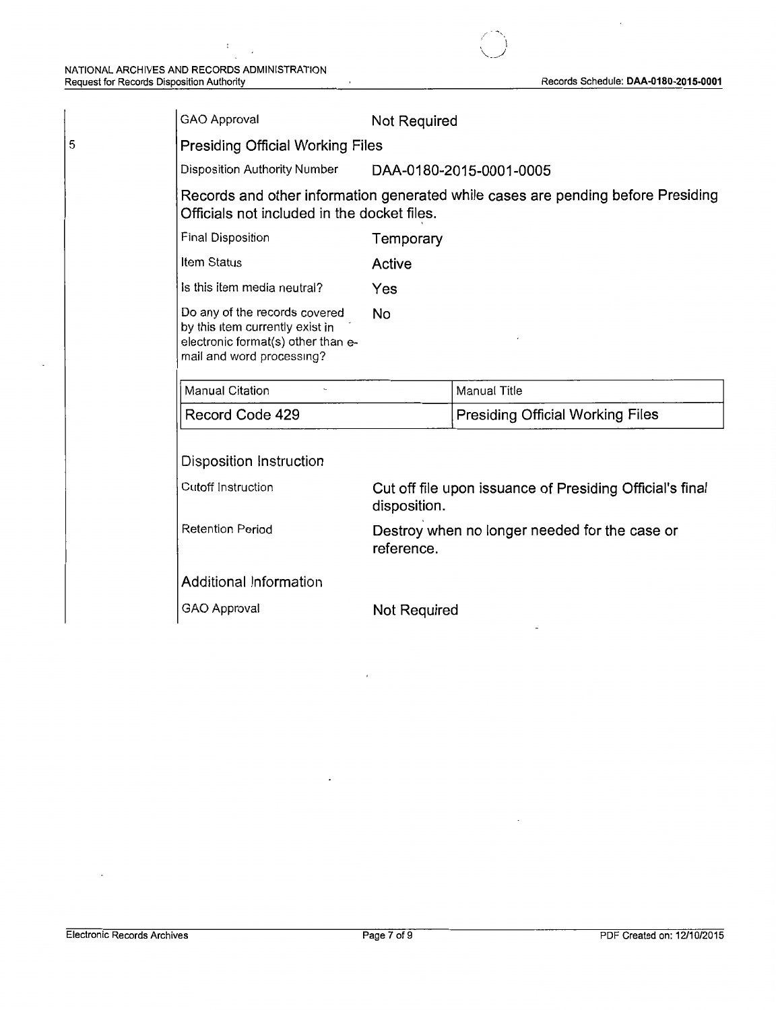5

 $\bar{.}$ 

| <b>GAO Approval</b>                                                                                                                 | Not Required                                                             |                                         |  |
|-------------------------------------------------------------------------------------------------------------------------------------|--------------------------------------------------------------------------|-----------------------------------------|--|
| <b>Presiding Official Working Files</b>                                                                                             |                                                                          |                                         |  |
| Disposition Authority Number                                                                                                        | DAA-0180-2015-0001-0005                                                  |                                         |  |
| Records and other information generated while cases are pending before Presiding<br>Officials not included in the docket files.     |                                                                          |                                         |  |
| Final Disposition                                                                                                                   | Temporary                                                                |                                         |  |
| Item Status                                                                                                                         | Active                                                                   |                                         |  |
| Is this item media neutral?                                                                                                         | Yes                                                                      |                                         |  |
| Do any of the records covered<br>by this item currently exist in<br>electronic format(s) other than e-<br>mail and word processing? | <b>No</b>                                                                |                                         |  |
| Manual Citation                                                                                                                     |                                                                          | <b>Manual Title</b>                     |  |
| Record Code 429                                                                                                                     |                                                                          | <b>Presiding Official Working Files</b> |  |
| Disposition Instruction                                                                                                             |                                                                          |                                         |  |
| Cutoff Instruction                                                                                                                  | Cut off file upon issuance of Presiding Official's final<br>disposition. |                                         |  |
| <b>Retention Period</b>                                                                                                             | Destroy when no longer needed for the case or<br>reference.              |                                         |  |
| <b>Additional Information</b>                                                                                                       |                                                                          |                                         |  |
| GAO Approval                                                                                                                        | Not Required                                                             |                                         |  |

/'" ..... ,, ' \ *\.\_\_j*